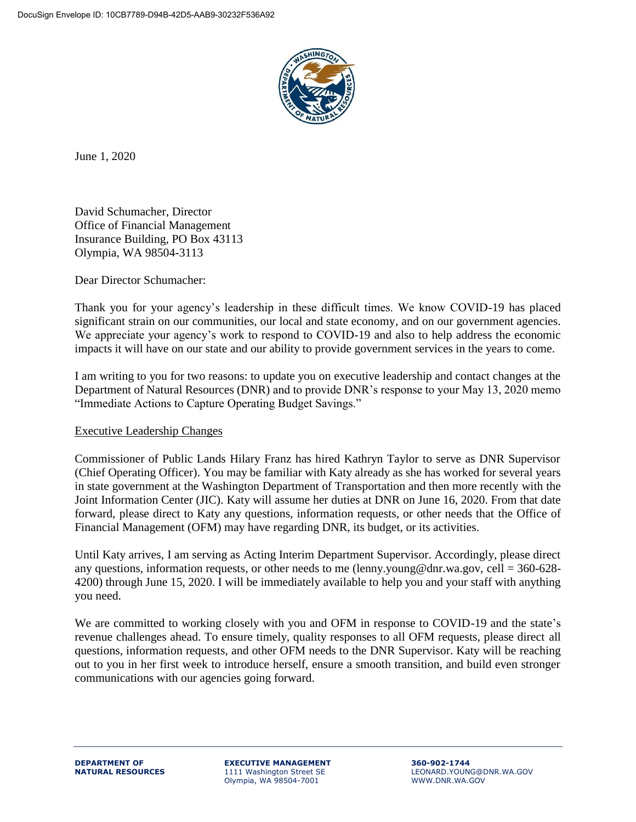

June 1, 2020

David Schumacher, Director Office of Financial Management Insurance Building, PO Box 43113 Olympia, WA 98504-3113

Dear Director Schumacher:

Thank you for your agency's leadership in these difficult times. We know COVID-19 has placed significant strain on our communities, our local and state economy, and on our government agencies. We appreciate your agency's work to respond to COVID-19 and also to help address the economic impacts it will have on our state and our ability to provide government services in the years to come.

I am writing to you for two reasons: to update you on executive leadership and contact changes at the Department of Natural Resources (DNR) and to provide DNR's response to your May 13, 2020 memo "Immediate Actions to Capture Operating Budget Savings."

## Executive Leadership Changes

Commissioner of Public Lands Hilary Franz has hired Kathryn Taylor to serve as DNR Supervisor (Chief Operating Officer). You may be familiar with Katy already as she has worked for several years in state government at the Washington Department of Transportation and then more recently with the Joint Information Center (JIC). Katy will assume her duties at DNR on June 16, 2020. From that date forward, please direct to Katy any questions, information requests, or other needs that the Office of Financial Management (OFM) may have regarding DNR, its budget, or its activities.

Until Katy arrives, I am serving as Acting Interim Department Supervisor. Accordingly, please direct any questions, information requests, or other needs to me (lenny.young@dnr.wa.gov, cell =  $360-628$ -4200) through June 15, 2020. I will be immediately available to help you and your staff with anything you need.

We are committed to working closely with you and OFM in response to COVID-19 and the state's revenue challenges ahead. To ensure timely, quality responses to all OFM requests, please direct all questions, information requests, and other OFM needs to the DNR Supervisor. Katy will be reaching out to you in her first week to introduce herself, ensure a smooth transition, and build even stronger communications with our agencies going forward.

**DEPARTMENT OF EXECUTIVE MANAGEMENT 360-902-1744** Olympia, WA 98504-7001

**NATURAL RESOURCES** 1111 Washington Street SE LEONARD.YOUNG@DNR.WA.GOV<br>Olympia, WA 98504-7001 WWW.DNR.WA.GOV